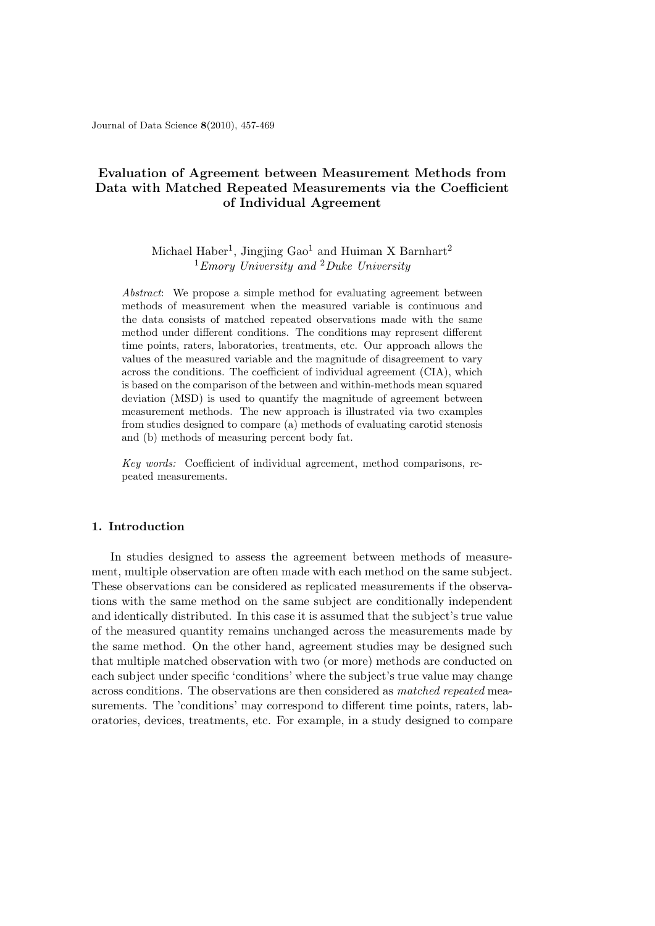Journal of Data Science **8**(2010), 457-469

# **Evaluation of Agreement between Measurement Methods from Data with Matched Repeated Measurements via the Coefficient of Individual Agreement**

# Michael Haber<sup>1</sup>, Jingjing Gao<sup>1</sup> and Huiman X Barnhart<sup>2</sup> <sup>1</sup>*Emory University and* <sup>2</sup>*Duke University*

*Abstract*: We propose a simple method for evaluating agreement between methods of measurement when the measured variable is continuous and the data consists of matched repeated observations made with the same method under different conditions. The conditions may represent different time points, raters, laboratories, treatments, etc. Our approach allows the values of the measured variable and the magnitude of disagreement to vary across the conditions. The coefficient of individual agreement (CIA), which is based on the comparison of the between and within-methods mean squared deviation (MSD) is used to quantify the magnitude of agreement between measurement methods. The new approach is illustrated via two examples from studies designed to compare (a) methods of evaluating carotid stenosis and (b) methods of measuring percent body fat.

*Key words:* Coefficient of individual agreement, method comparisons, repeated measurements.

# **1. Introduction**

In studies designed to assess the agreement between methods of measurement, multiple observation are often made with each method on the same subject. These observations can be considered as replicated measurements if the observations with the same method on the same subject are conditionally independent and identically distributed. In this case it is assumed that the subject's true value of the measured quantity remains unchanged across the measurements made by the same method. On the other hand, agreement studies may be designed such that multiple matched observation with two (or more) methods are conducted on each subject under specific 'conditions' where the subject's true value may change across conditions. The observations are then considered as *matched repeated* measurements. The 'conditions' may correspond to different time points, raters, laboratories, devices, treatments, etc. For example, in a study designed to compare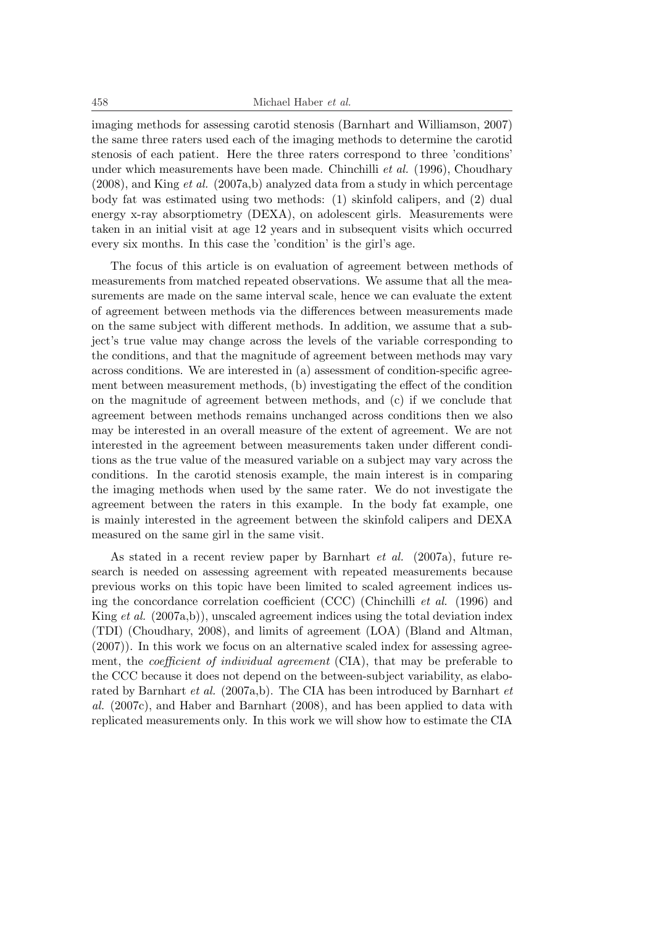imaging methods for assessing carotid stenosis (Barnhart and Williamson, 2007) the same three raters used each of the imaging methods to determine the carotid stenosis of each patient. Here the three raters correspond to three 'conditions' under which measurements have been made. Chinchilli *et al.* (1996), Choudhary (2008), and King *et al.* (2007a,b) analyzed data from a study in which percentage body fat was estimated using two methods: (1) skinfold calipers, and (2) dual energy x-ray absorptiometry (DEXA), on adolescent girls. Measurements were taken in an initial visit at age 12 years and in subsequent visits which occurred every six months. In this case the 'condition' is the girl's age.

The focus of this article is on evaluation of agreement between methods of measurements from matched repeated observations. We assume that all the measurements are made on the same interval scale, hence we can evaluate the extent of agreement between methods via the differences between measurements made on the same subject with different methods. In addition, we assume that a subject's true value may change across the levels of the variable corresponding to the conditions, and that the magnitude of agreement between methods may vary across conditions. We are interested in (a) assessment of condition-specific agreement between measurement methods, (b) investigating the effect of the condition on the magnitude of agreement between methods, and (c) if we conclude that agreement between methods remains unchanged across conditions then we also may be interested in an overall measure of the extent of agreement. We are not interested in the agreement between measurements taken under different conditions as the true value of the measured variable on a subject may vary across the conditions. In the carotid stenosis example, the main interest is in comparing the imaging methods when used by the same rater. We do not investigate the agreement between the raters in this example. In the body fat example, one is mainly interested in the agreement between the skinfold calipers and DEXA measured on the same girl in the same visit.

As stated in a recent review paper by Barnhart *et al.* (2007a), future research is needed on assessing agreement with repeated measurements because previous works on this topic have been limited to scaled agreement indices using the concordance correlation coefficient (CCC) (Chinchilli *et al.* (1996) and King *et al.* (2007a,b)), unscaled agreement indices using the total deviation index (TDI) (Choudhary, 2008), and limits of agreement (LOA) (Bland and Altman, (2007)). In this work we focus on an alternative scaled index for assessing agreement, the *coefficient of individual agreement* (CIA), that may be preferable to the CCC because it does not depend on the between-subject variability, as elaborated by Barnhart *et al.* (2007a,b). The CIA has been introduced by Barnhart *et al.* (2007c), and Haber and Barnhart (2008), and has been applied to data with replicated measurements only. In this work we will show how to estimate the CIA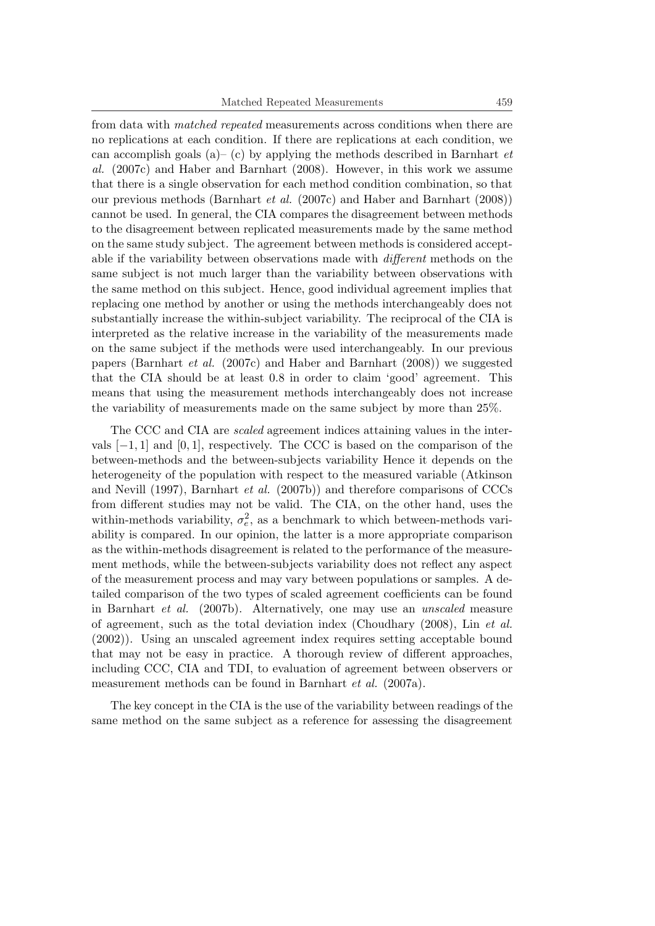from data with *matched repeated* measurements across conditions when there are no replications at each condition. If there are replications at each condition, we can accomplish goals (a)– (c) by applying the methods described in Barnhart *et al.* (2007c) and Haber and Barnhart (2008). However, in this work we assume that there is a single observation for each method condition combination, so that our previous methods (Barnhart *et al.* (2007c) and Haber and Barnhart (2008)) cannot be used. In general, the CIA compares the disagreement between methods to the disagreement between replicated measurements made by the same method on the same study subject. The agreement between methods is considered acceptable if the variability between observations made with *different* methods on the same subject is not much larger than the variability between observations with the same method on this subject. Hence, good individual agreement implies that replacing one method by another or using the methods interchangeably does not substantially increase the within-subject variability. The reciprocal of the CIA is interpreted as the relative increase in the variability of the measurements made on the same subject if the methods were used interchangeably. In our previous papers (Barnhart *et al.* (2007c) and Haber and Barnhart (2008)) we suggested that the CIA should be at least 0.8 in order to claim 'good' agreement. This means that using the measurement methods interchangeably does not increase the variability of measurements made on the same subject by more than 25%.

The CCC and CIA are *scaled* agreement indices attaining values in the intervals [*−*1*,* 1] and [0*,* 1], respectively. The CCC is based on the comparison of the between-methods and the between-subjects variability Hence it depends on the heterogeneity of the population with respect to the measured variable (Atkinson and Nevill (1997), Barnhart *et al.* (2007b)) and therefore comparisons of CCCs from different studies may not be valid. The CIA, on the other hand, uses the within-methods variability,  $\sigma_e^2$ , as a benchmark to which between-methods variability is compared. In our opinion, the latter is a more appropriate comparison as the within-methods disagreement is related to the performance of the measurement methods, while the between-subjects variability does not reflect any aspect of the measurement process and may vary between populations or samples. A detailed comparison of the two types of scaled agreement coefficients can be found in Barnhart *et al.* (2007b). Alternatively, one may use an *unscaled* measure of agreement, such as the total deviation index (Choudhary (2008), Lin *et al.* (2002)). Using an unscaled agreement index requires setting acceptable bound that may not be easy in practice. A thorough review of different approaches, including CCC, CIA and TDI, to evaluation of agreement between observers or measurement methods can be found in Barnhart *et al.* (2007a).

The key concept in the CIA is the use of the variability between readings of the same method on the same subject as a reference for assessing the disagreement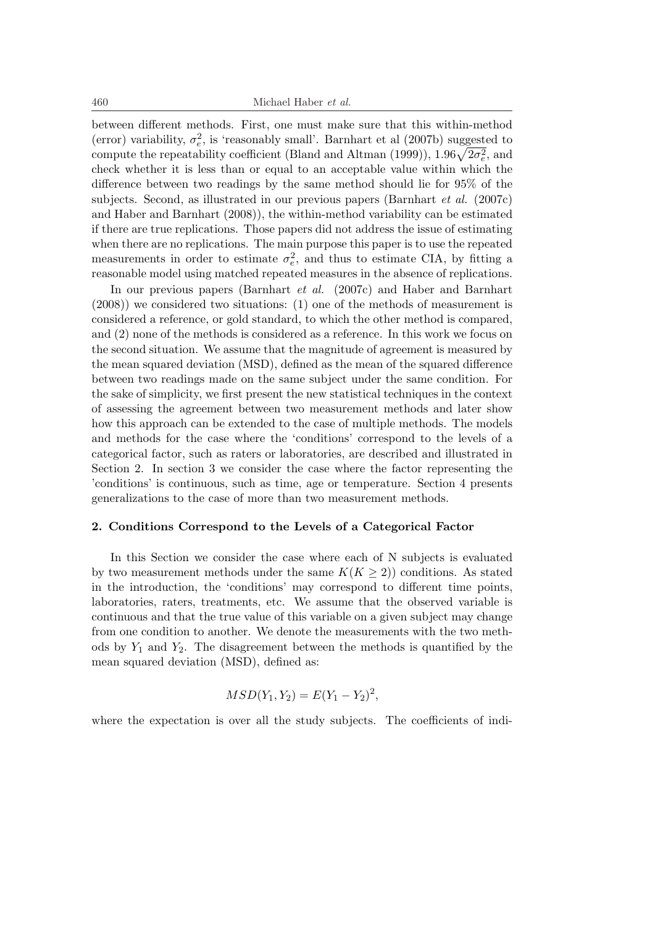460 Michael Haber *et al.*

between different methods. First, one must make sure that this within-method (error) variability,  $\sigma_e^2$ , is 'reasonably small'. Barnhart et al (2007b) suggested to compute the repeatability coefficient (Bland and Altman (1999)),  $1.96\sqrt{2\sigma_e^2}$ , and check whether it is less than or equal to an acceptable value within which the difference between two readings by the same method should lie for 95% of the subjects. Second, as illustrated in our previous papers (Barnhart *et al.* (2007c) and Haber and Barnhart (2008)), the within-method variability can be estimated if there are true replications. Those papers did not address the issue of estimating when there are no replications. The main purpose this paper is to use the repeated measurements in order to estimate  $\sigma_e^2$ , and thus to estimate CIA, by fitting a reasonable model using matched repeated measures in the absence of replications.

In our previous papers (Barnhart *et al.* (2007c) and Haber and Barnhart (2008)) we considered two situations: (1) one of the methods of measurement is considered a reference, or gold standard, to which the other method is compared, and (2) none of the methods is considered as a reference. In this work we focus on the second situation. We assume that the magnitude of agreement is measured by the mean squared deviation (MSD), defined as the mean of the squared difference between two readings made on the same subject under the same condition. For the sake of simplicity, we first present the new statistical techniques in the context of assessing the agreement between two measurement methods and later show how this approach can be extended to the case of multiple methods. The models and methods for the case where the 'conditions' correspond to the levels of a categorical factor, such as raters or laboratories, are described and illustrated in Section 2. In section 3 we consider the case where the factor representing the 'conditions' is continuous, such as time, age or temperature. Section 4 presents generalizations to the case of more than two measurement methods.

#### **2. Conditions Correspond to the Levels of a Categorical Factor**

In this Section we consider the case where each of N subjects is evaluated by two measurement methods under the same  $K(K \geq 2)$ ) conditions. As stated in the introduction, the 'conditions' may correspond to different time points, laboratories, raters, treatments, etc. We assume that the observed variable is continuous and that the true value of this variable on a given subject may change from one condition to another. We denote the measurements with the two methods by  $Y_1$  and  $Y_2$ . The disagreement between the methods is quantified by the mean squared deviation (MSD), defined as:

$$
MSD(Y_1, Y_2) = E(Y_1 - Y_2)^2,
$$

where the expectation is over all the study subjects. The coefficients of indi-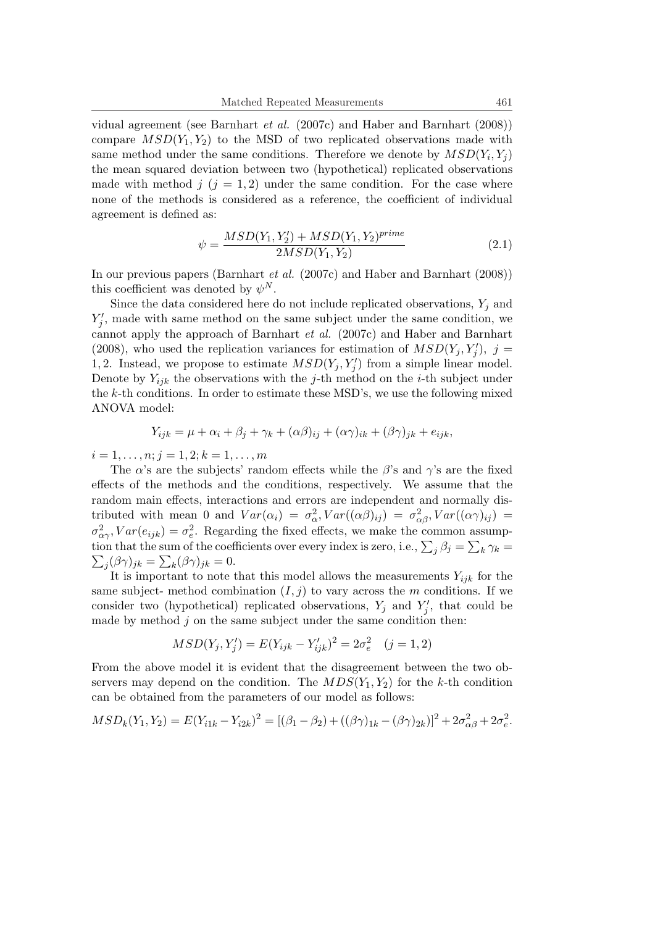vidual agreement (see Barnhart *et al.* (2007c) and Haber and Barnhart (2008)) compare  $MSD(Y_1, Y_2)$  to the MSD of two replicated observations made with same method under the same conditions. Therefore we denote by  $MSD(Y_i, Y_j)$ the mean squared deviation between two (hypothetical) replicated observations made with method  $j$  ( $j = 1, 2$ ) under the same condition. For the case where none of the methods is considered as a reference, the coefficient of individual agreement is defined as:

$$
\psi = \frac{MSD(Y_1, Y_2') + MSD(Y_1, Y_2)^{prime}}{2MSD(Y_1, Y_2)}
$$
\n(2.1)

In our previous papers (Barnhart *et al.* (2007c) and Haber and Barnhart (2008)) this coefficient was denoted by  $\psi^N$ .

Since the data considered here do not include replicated observations,  $Y_j$  and  $Y'_{j}$ , made with same method on the same subject under the same condition, we cannot apply the approach of Barnhart *et al.* (2007c) and Haber and Barnhart (2008), who used the replication variances for estimation of  $MSD(Y_j, Y'_j)$ ,  $j =$ 1,2. Instead, we propose to estimate  $MSD(Y_j, Y'_j)$  from a simple linear model. Denote by  $Y_{ijk}$  the observations with the *j*-th method on the *i*-th subject under the *k*-th conditions. In order to estimate these MSD's, we use the following mixed ANOVA model:

$$
Y_{ijk} = \mu + \alpha_i + \beta_j + \gamma_k + (\alpha \beta)_{ij} + (\alpha \gamma)_{ik} + (\beta \gamma)_{jk} + e_{ijk},
$$

 $i = 1, \ldots, n; j = 1, 2; k = 1, \ldots, m$ 

The *α*'s are the subjects' random effects while the *β*'s and  $\gamma$ 's are the fixed effects of the methods and the conditions, respectively. We assume that the random main effects, interactions and errors are independent and normally distributed with mean 0 and  $Var(\alpha_i) = \sigma_{\alpha}^2, Var((\alpha \beta)_{ij}) = \sigma_{\alpha\beta}^2, Var((\alpha \gamma)_{ij}) =$  $\sigma_{\alpha\gamma}^2$ ,  $Var(e_{ijk}) = \sigma_e^2$ . Regarding the fixed effects, we make the common assumption that the sum of the coefficients over every index is zero, i.e.,  $\sum_j \beta_j = \sum_k \gamma_k =$  $\sum_j (\beta \gamma)_{jk} = \sum_k (\beta \gamma)_{jk} = 0.$ 

It is important to note that this model allows the measurements  $Y_{ijk}$  for the same subject- method combination  $(I, j)$  to vary across the *m* conditions. If we consider two (hypothetical) replicated observations,  $Y_j$  and  $Y'_j$ , that could be made by method *j* on the same subject under the same condition then:

$$
MSD(Y_j, Y_j') = E(Y_{ijk} - Y_{ijk}')^2 = 2\sigma_e^2 \quad (j = 1, 2)
$$

From the above model it is evident that the disagreement between the two observers may depend on the condition. The  $MDS(Y_1, Y_2)$  for the *k*-th condition can be obtained from the parameters of our model as follows:

$$
MSD_k(Y_1, Y_2) = E(Y_{i1k} - Y_{i2k})^2 = [(\beta_1 - \beta_2) + ((\beta \gamma)_{1k} - (\beta \gamma)_{2k})]^2 + 2\sigma_{\alpha\beta}^2 + 2\sigma_{e}^2.
$$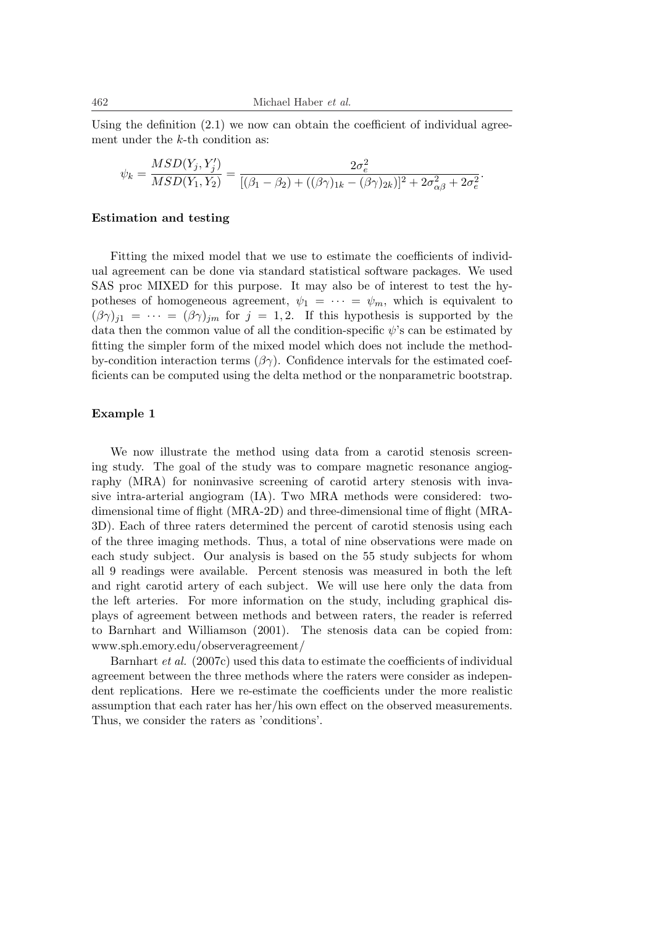Using the definition  $(2.1)$  we now can obtain the coefficient of individual agreement under the *k*-th condition as:

$$
\psi_k = \frac{MSD(Y_j, Y_j')}{MSD(Y_1, Y_2)} = \frac{2\sigma_e^2}{[(\beta_1 - \beta_2) + ((\beta\gamma)_{1k} - (\beta\gamma)_{2k})]^2 + 2\sigma_{\alpha\beta}^2 + 2\sigma_e^2}.
$$

#### **Estimation and testing**

Fitting the mixed model that we use to estimate the coefficients of individual agreement can be done via standard statistical software packages. We used SAS proc MIXED for this purpose. It may also be of interest to test the hypotheses of homogeneous agreement,  $\psi_1 = \cdots = \psi_m$ , which is equivalent to  $(\beta \gamma)_{i1} = \cdots = (\beta \gamma)_{im}$  for  $j = 1, 2$ . If this hypothesis is supported by the data then the common value of all the condition-specific  $\psi$ 's can be estimated by fitting the simpler form of the mixed model which does not include the methodby-condition interaction terms  $(\beta \gamma)$ . Confidence intervals for the estimated coefficients can be computed using the delta method or the nonparametric bootstrap.

# **Example 1**

We now illustrate the method using data from a carotid stenosis screening study. The goal of the study was to compare magnetic resonance angiography (MRA) for noninvasive screening of carotid artery stenosis with invasive intra-arterial angiogram (IA). Two MRA methods were considered: twodimensional time of flight (MRA-2D) and three-dimensional time of flight (MRA-3D). Each of three raters determined the percent of carotid stenosis using each of the three imaging methods. Thus, a total of nine observations were made on each study subject. Our analysis is based on the 55 study subjects for whom all 9 readings were available. Percent stenosis was measured in both the left and right carotid artery of each subject. We will use here only the data from the left arteries. For more information on the study, including graphical displays of agreement between methods and between raters, the reader is referred to Barnhart and Williamson (2001). The stenosis data can be copied from: www.sph.emory.edu/observeragreement/

Barnhart *et al.* (2007c) used this data to estimate the coefficients of individual agreement between the three methods where the raters were consider as independent replications. Here we re-estimate the coefficients under the more realistic assumption that each rater has her/his own effect on the observed measurements. Thus, we consider the raters as 'conditions'.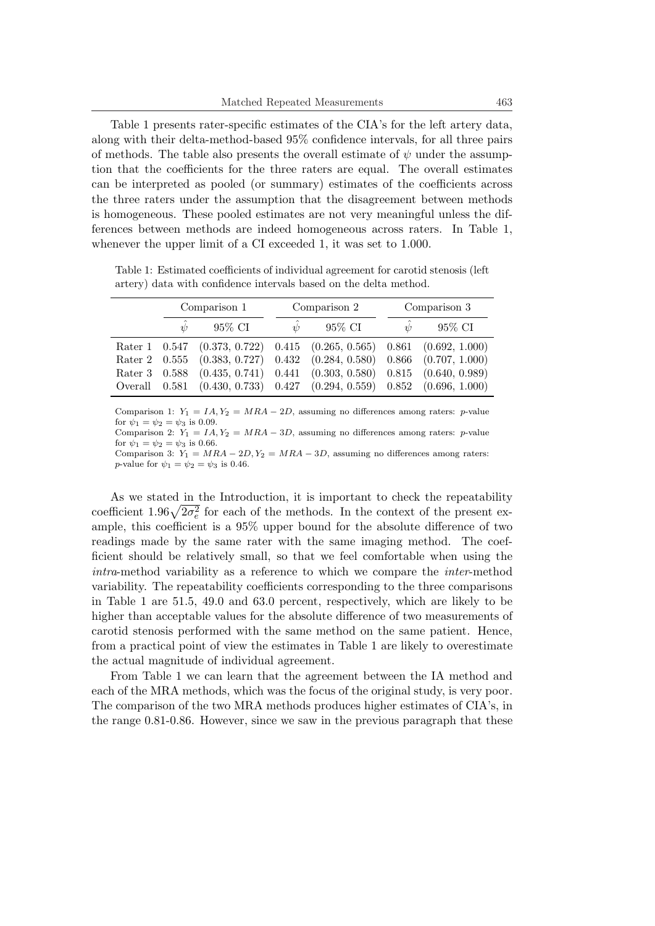Table 1 presents rater-specific estimates of the CIA's for the left artery data, along with their delta-method-based 95% confidence intervals, for all three pairs of methods. The table also presents the overall estimate of *ψ* under the assumption that the coefficients for the three raters are equal. The overall estimates can be interpreted as pooled (or summary) estimates of the coefficients across the three raters under the assumption that the disagreement between methods is homogeneous. These pooled estimates are not very meaningful unless the differences between methods are indeed homogeneous across raters. In Table 1, whenever the upper limit of a CI exceeded 1, it was set to 1.000.

Table 1: Estimated coefficients of individual agreement for carotid stenosis (left artery) data with confidence intervals based on the delta method.

| Comparison 1 |        | Comparison 2      |                                                                        | Comparison 3 |        |
|--------------|--------|-------------------|------------------------------------------------------------------------|--------------|--------|
| $\psi$       | 95% CI | $\overline{\psi}$ | 95% CI                                                                 | $\bar{\psi}$ | 95% CI |
|              |        |                   | Rater 1 0.547 (0.373, 0.722) 0.415 (0.265, 0.565) 0.861 (0.692, 1.000) |              |        |
|              |        |                   | Rater 2 0.555 (0.383, 0.727) 0.432 (0.284, 0.580) 0.866 (0.707, 1.000) |              |        |
|              |        |                   | Rater 3 0.588 (0.435, 0.741) 0.441 (0.303, 0.580) 0.815 (0.640, 0.989) |              |        |
|              |        |                   | Overall 0.581 (0.430, 0.733) 0.427 (0.294, 0.559) 0.852 (0.696, 1.000) |              |        |

Comparison 1:  $Y_1 = IA, Y_2 = MRA - 2D$ , assuming no differences among raters: *p*-value for  $\psi_1 = \psi_2 = \psi_3$  is 0.09.

Comparison 2:  $Y_1 = IA, Y_2 = MRA - 3D$ , assuming no differences among raters: *p*-value for  $\psi_1 = \psi_2 = \psi_3$  is 0.66. Comparison 3:  $Y_1 = MRA - 2D$ ,  $Y_2 = MRA - 3D$ , assuming no differences among raters:

*p*-value for  $\psi_1 = \psi_2 = \psi_3$  is 0.46.

As we stated in the Introduction, it is important to check the repeatability coefficient  $1.96\sqrt{2\sigma_e^2}$  for each of the methods. In the context of the present example, this coefficient is a 95% upper bound for the absolute difference of two readings made by the same rater with the same imaging method. The coefficient should be relatively small, so that we feel comfortable when using the *intra*-method variability as a reference to which we compare the *inter*-method variability. The repeatability coefficients corresponding to the three comparisons in Table 1 are 51.5, 49.0 and 63.0 percent, respectively, which are likely to be higher than acceptable values for the absolute difference of two measurements of carotid stenosis performed with the same method on the same patient. Hence, from a practical point of view the estimates in Table 1 are likely to overestimate the actual magnitude of individual agreement.

From Table 1 we can learn that the agreement between the IA method and each of the MRA methods, which was the focus of the original study, is very poor. The comparison of the two MRA methods produces higher estimates of CIA's, in the range 0.81-0.86. However, since we saw in the previous paragraph that these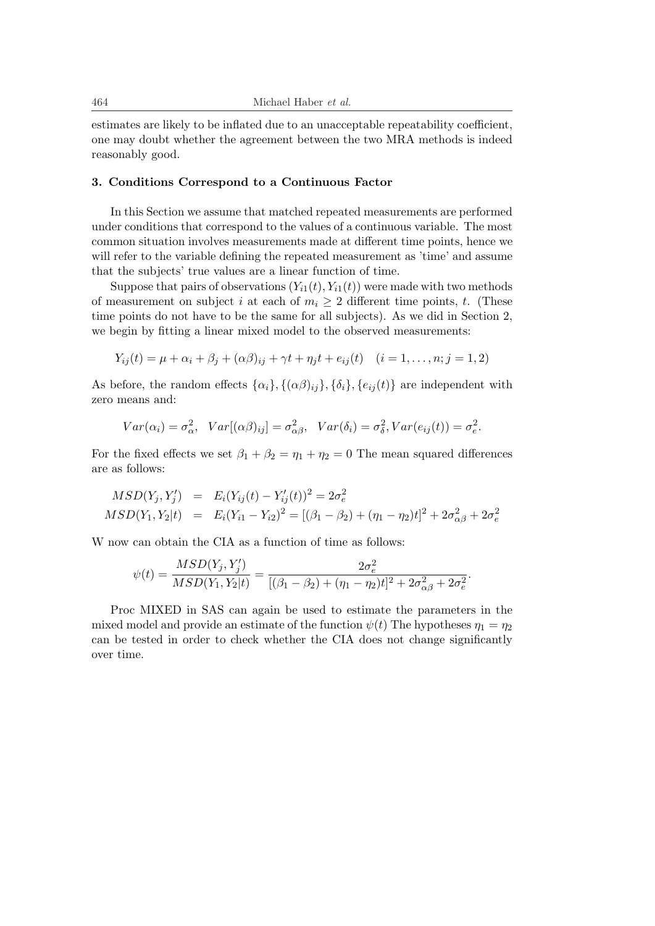estimates are likely to be inflated due to an unacceptable repeatability coefficient, one may doubt whether the agreement between the two MRA methods is indeed reasonably good.

#### **3. Conditions Correspond to a Continuous Factor**

In this Section we assume that matched repeated measurements are performed under conditions that correspond to the values of a continuous variable. The most common situation involves measurements made at different time points, hence we will refer to the variable defining the repeated measurement as 'time' and assume that the subjects' true values are a linear function of time.

Suppose that pairs of observations  $(Y_{i1}(t), Y_{i1}(t))$  were made with two methods of measurement on subject *i* at each of  $m_i \geq 2$  different time points, *t*. (These time points do not have to be the same for all subjects). As we did in Section 2, we begin by fitting a linear mixed model to the observed measurements:

$$
Y_{ij}(t) = \mu + \alpha_i + \beta_j + (\alpha \beta)_{ij} + \gamma t + \eta_j t + e_{ij}(t) \quad (i = 1, ..., n; j = 1, 2)
$$

As before, the random effects  $\{\alpha_i\}$ ,  $\{(\alpha\beta)_{ij}\}$ ,  $\{\delta_i\}$ ,  $\{e_{ij}(t)\}$  are independent with zero means and:

$$
Var(\alpha_i) = \sigma_\alpha^2, Var[(\alpha \beta)_{ij}] = \sigma_{\alpha \beta}^2, Var(\delta_i) = \sigma_\delta^2, Var(e_{ij}(t)) = \sigma_e^2.
$$

For the fixed effects we set  $\beta_1 + \beta_2 = \eta_1 + \eta_2 = 0$  The mean squared differences are as follows:

$$
MSD(Y_j, Y'_j) = E_i(Y_{ij}(t) - Y'_{ij}(t))^2 = 2\sigma_e^2
$$
  
\n
$$
MSD(Y_1, Y_2|t) = E_i(Y_{i1} - Y_{i2})^2 = [(\beta_1 - \beta_2) + (\eta_1 - \eta_2)t]^2 + 2\sigma_{\alpha\beta}^2 + 2\sigma_e^2
$$

W now can obtain the CIA as a function of time as follows:

$$
\psi(t) = \frac{MSD(Y_j, Y_j')}{MSD(Y_1, Y_2|t)} = \frac{2\sigma_e^2}{[(\beta_1 - \beta_2) + (\eta_1 - \eta_2)t]^2 + 2\sigma_{\alpha\beta}^2 + 2\sigma_e^2}.
$$

Proc MIXED in SAS can again be used to estimate the parameters in the mixed model and provide an estimate of the function  $\psi(t)$  The hypotheses  $\eta_1 = \eta_2$ can be tested in order to check whether the CIA does not change significantly over time.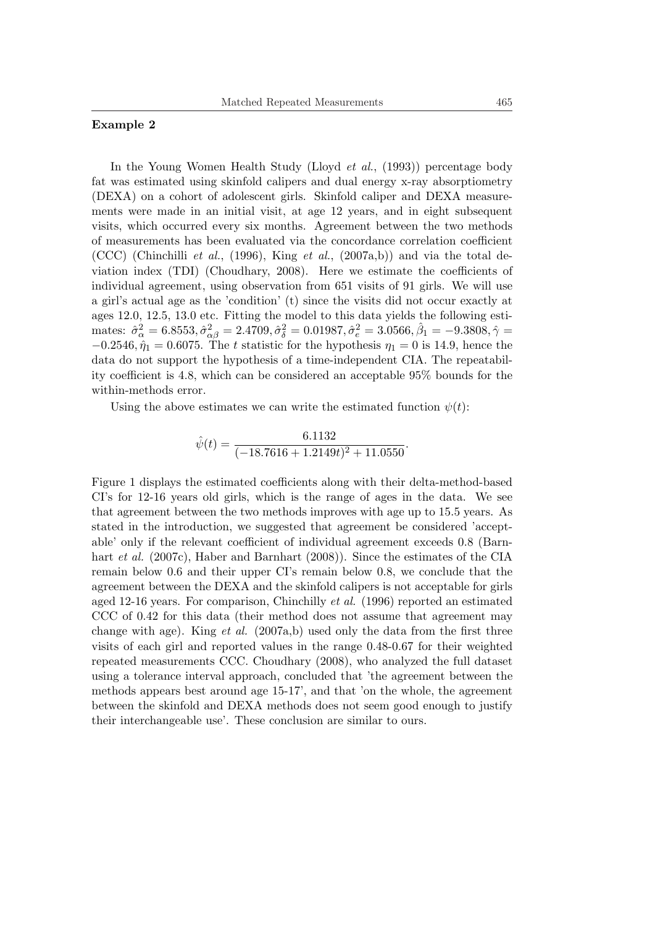# **Example 2**

In the Young Women Health Study (Lloyd *et al.*, (1993)) percentage body fat was estimated using skinfold calipers and dual energy x-ray absorptiometry (DEXA) on a cohort of adolescent girls. Skinfold caliper and DEXA measurements were made in an initial visit, at age 12 years, and in eight subsequent visits, which occurred every six months. Agreement between the two methods of measurements has been evaluated via the concordance correlation coefficient (CCC) (Chinchilli *et al.*, (1996), King *et al.*, (2007a,b)) and via the total deviation index (TDI) (Choudhary, 2008). Here we estimate the coefficients of individual agreement, using observation from 651 visits of 91 girls. We will use a girl's actual age as the 'condition' (t) since the visits did not occur exactly at ages 12.0, 12.5, 13.0 etc. Fitting the model to this data yields the following estimates:  $\hat{\sigma}_{\alpha}^2 = 6.8553$ ,  $\hat{\sigma}_{\alpha\beta}^2 = 2.4709$ ,  $\hat{\sigma}_{\delta}^2 = 0.01987$ ,  $\hat{\sigma}_{e}^2 = 3.0566$ ,  $\hat{\beta}_1 = -9.3808$ ,  $\hat{\gamma} =$  $-0.2546, \hat{\eta}_1 = 0.6075$ . The *t* statistic for the hypothesis  $\eta_1 = 0$  is 14.9, hence the data do not support the hypothesis of a time-independent CIA. The repeatability coefficient is 4.8, which can be considered an acceptable 95% bounds for the within-methods error.

Using the above estimates we can write the estimated function  $\psi(t)$ :

$$
\hat{\psi}(t) = \frac{6.1132}{(-18.7616 + 1.2149t)^2 + 11.0550}
$$

*.*

Figure 1 displays the estimated coefficients along with their delta-method-based CI's for 12-16 years old girls, which is the range of ages in the data. We see that agreement between the two methods improves with age up to 15.5 years. As stated in the introduction, we suggested that agreement be considered 'acceptable' only if the relevant coefficient of individual agreement exceeds 0.8 (Barnhart *et al.* (2007c), Haber and Barnhart (2008)). Since the estimates of the CIA remain below 0.6 and their upper CI's remain below 0.8, we conclude that the agreement between the DEXA and the skinfold calipers is not acceptable for girls aged 12-16 years. For comparison, Chinchilly *et al.* (1996) reported an estimated CCC of 0.42 for this data (their method does not assume that agreement may change with age). King *et al.* (2007a,b) used only the data from the first three visits of each girl and reported values in the range 0.48-0.67 for their weighted repeated measurements CCC. Choudhary (2008), who analyzed the full dataset using a tolerance interval approach, concluded that 'the agreement between the methods appears best around age 15-17', and that 'on the whole, the agreement between the skinfold and DEXA methods does not seem good enough to justify their interchangeable use'. These conclusion are similar to ours.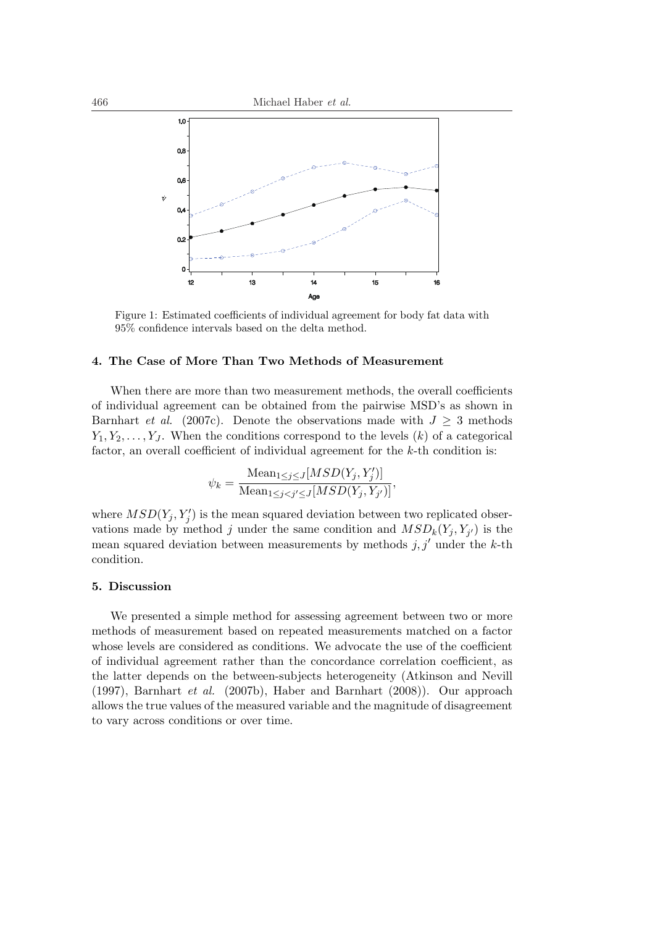

Figure 1: Estimated coefficients of individual agreement for body fat data with 95% confidence intervals based on the delta method.

### **4. The Case of More Than Two Methods of Measurement**

When there are more than two measurement methods, the overall coefficients of individual agreement can be obtained from the pairwise MSD's as shown in Barnhart *et al.* (2007c). Denote the observations made with  $J \geq 3$  methods  $Y_1, Y_2, \ldots, Y_J$ . When the conditions correspond to the levels  $(k)$  of a categorical factor, an overall coefficient of individual agreement for the *k*-th condition is:

$$
\psi_k = \frac{\text{Mean}_{1 \le j \le J}[MSD(Y_j, Y'_j)]}{\text{Mean}_{1 \le j < j' \le J}[MSD(Y_j, Y_{j'})]},
$$

where  $MSD(Y_j, Y'_j)$  is the mean squared deviation between two replicated observations made by method *j* under the same condition and  $MSD_k(Y_j, Y_{j'})$  is the mean squared deviation between measurements by methods  $j, j'$  under the  $k$ -th condition.

### **5. Discussion**

We presented a simple method for assessing agreement between two or more methods of measurement based on repeated measurements matched on a factor whose levels are considered as conditions. We advocate the use of the coefficient of individual agreement rather than the concordance correlation coefficient, as the latter depends on the between-subjects heterogeneity (Atkinson and Nevill (1997), Barnhart *et al.* (2007b), Haber and Barnhart (2008)). Our approach allows the true values of the measured variable and the magnitude of disagreement to vary across conditions or over time.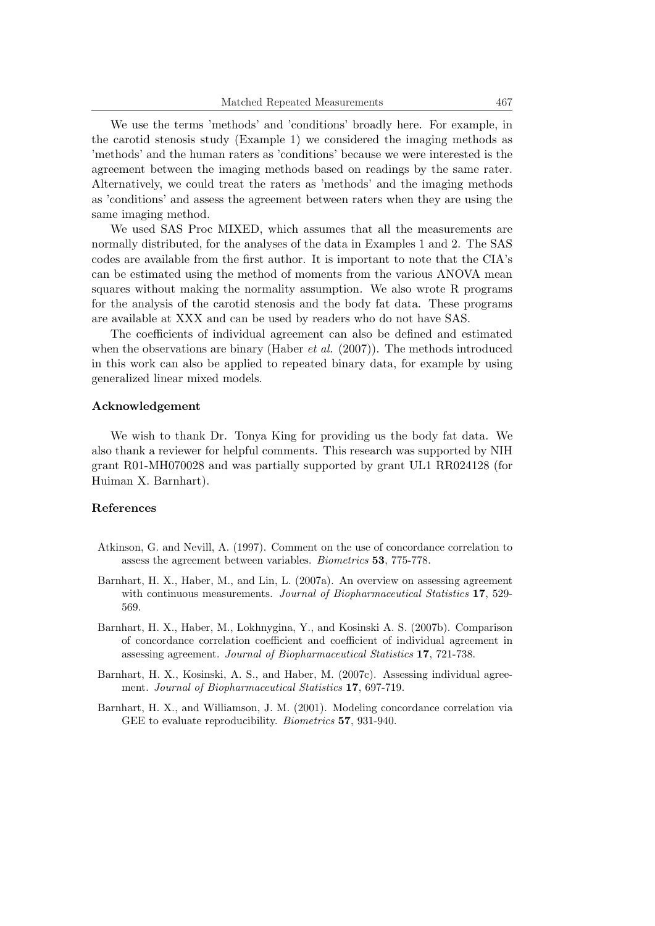We use the terms 'methods' and 'conditions' broadly here. For example, in the carotid stenosis study (Example 1) we considered the imaging methods as 'methods' and the human raters as 'conditions' because we were interested is the agreement between the imaging methods based on readings by the same rater. Alternatively, we could treat the raters as 'methods' and the imaging methods as 'conditions' and assess the agreement between raters when they are using the same imaging method.

We used SAS Proc MIXED, which assumes that all the measurements are normally distributed, for the analyses of the data in Examples 1 and 2. The SAS codes are available from the first author. It is important to note that the CIA's can be estimated using the method of moments from the various ANOVA mean squares without making the normality assumption. We also wrote R programs for the analysis of the carotid stenosis and the body fat data. These programs are available at XXX and can be used by readers who do not have SAS.

The coefficients of individual agreement can also be defined and estimated when the observations are binary (Haber *et al.* (2007)). The methods introduced in this work can also be applied to repeated binary data, for example by using generalized linear mixed models.

#### **Acknowledgement**

We wish to thank Dr. Tonya King for providing us the body fat data. We also thank a reviewer for helpful comments. This research was supported by NIH grant R01-MH070028 and was partially supported by grant UL1 RR024128 (for Huiman X. Barnhart).

#### **References**

- Atkinson, G. and Nevill, A. (1997). Comment on the use of concordance correlation to assess the agreement between variables. *Biometrics* **53**, 775-778.
- Barnhart, H. X., Haber, M., and Lin, L. (2007a). An overview on assessing agreement with continuous measurements. *Journal of Biopharmaceutical Statistics* **17**, 529- 569.
- Barnhart, H. X., Haber, M., Lokhnygina, Y., and Kosinski A. S. (2007b). Comparison of concordance correlation coefficient and coefficient of individual agreement in assessing agreement. *Journal of Biopharmaceutical Statistics* **17**, 721-738.
- Barnhart, H. X., Kosinski, A. S., and Haber, M. (2007c). Assessing individual agreement. *Journal of Biopharmaceutical Statistics* **17**, 697-719.
- Barnhart, H. X., and Williamson, J. M. (2001). Modeling concordance correlation via GEE to evaluate reproducibility. *Biometrics* **57**, 931-940.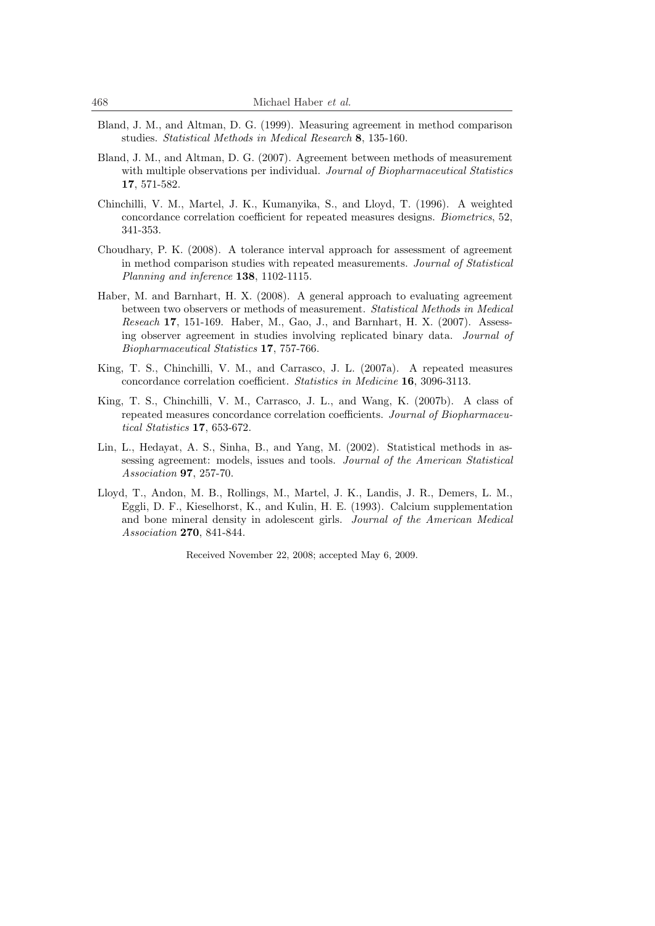- Bland, J. M., and Altman, D. G. (1999). Measuring agreement in method comparison studies. *Statistical Methods in Medical Research* **8**, 135-160.
- Bland, J. M., and Altman, D. G. (2007). Agreement between methods of measurement with multiple observations per individual. *Journal of Biopharmaceutical Statistics* **17**, 571-582.
- Chinchilli, V. M., Martel, J. K., Kumanyika, S., and Lloyd, T. (1996). A weighted concordance correlation coefficient for repeated measures designs. *Biometrics*, 52, 341-353.
- Choudhary, P. K. (2008). A tolerance interval approach for assessment of agreement in method comparison studies with repeated measurements. *Journal of Statistical Planning and inference* **138**, 1102-1115.
- Haber, M. and Barnhart, H. X. (2008). A general approach to evaluating agreement between two observers or methods of measurement. *Statistical Methods in Medical Reseach* **17**, 151-169. Haber, M., Gao, J., and Barnhart, H. X. (2007). Assessing observer agreement in studies involving replicated binary data. *Journal of Biopharmaceutical Statistics* **17**, 757-766.
- King, T. S., Chinchilli, V. M., and Carrasco, J. L. (2007a). A repeated measures concordance correlation coefficient. *Statistics in Medicine* **16**, 3096-3113.
- King, T. S., Chinchilli, V. M., Carrasco, J. L., and Wang, K. (2007b). A class of repeated measures concordance correlation coefficients. *Journal of Biopharmaceutical Statistics* **17**, 653-672.
- Lin, L., Hedayat, A. S., Sinha, B., and Yang, M. (2002). Statistical methods in assessing agreement: models, issues and tools. *Journal of the American Statistical Association* **97**, 257-70.
- Lloyd, T., Andon, M. B., Rollings, M., Martel, J. K., Landis, J. R., Demers, L. M., Eggli, D. F., Kieselhorst, K., and Kulin, H. E. (1993). Calcium supplementation and bone mineral density in adolescent girls. *Journal of the American Medical Association* **270**, 841-844.

Received November 22, 2008; accepted May 6, 2009.